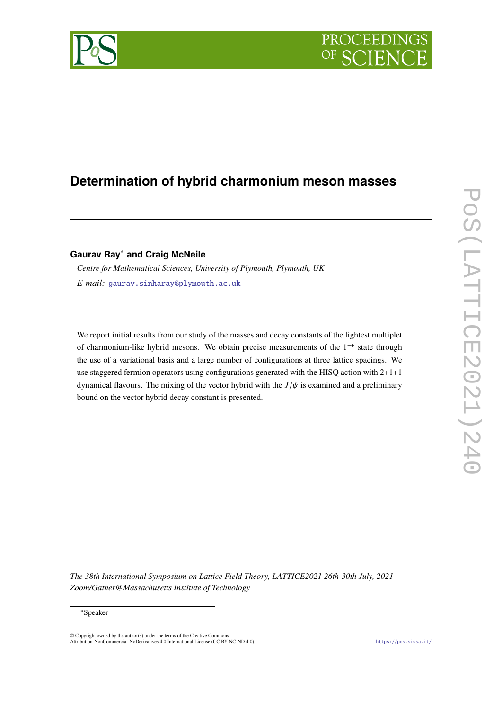

# **Determination of hybrid charmonium meson masses**

**Gaurav Ray**<sup>∗</sup> **and Craig McNeile**

*Centre for Mathematical Sciences, University of Plymouth, Plymouth, UK E-mail:* [gaurav.sinharay@plymouth.ac.uk](mailto:gaurav.sinharay@plymouth.ac.uk)

We report initial results from our study of the masses and decay constants of the lightest multiplet of charmonium-like hybrid mesons. We obtain precise measurements of the  $1^{-+}$  state through the use of a variational basis and a large number of configurations at three lattice spacings. We use staggered fermion operators using configurations generated with the HISQ action with 2+1+1 dynamical flavours. The mixing of the vector hybrid with the  $J/\psi$  is examined and a preliminary bound on the vector hybrid decay constant is presented.

*The 38th International Symposium on Lattice Field Theory, LATTICE2021 26th-30th July, 2021 Zoom/Gather@Massachusetts Institute of Technology*

© Copyright owned by the author(s) under the terms of the Creative Commons Attribution-NonCommercial-NoDerivatives 4.0 International License (CC BY-NC-ND 4.0). <https://pos.sissa.it/>

<sup>∗</sup>Speaker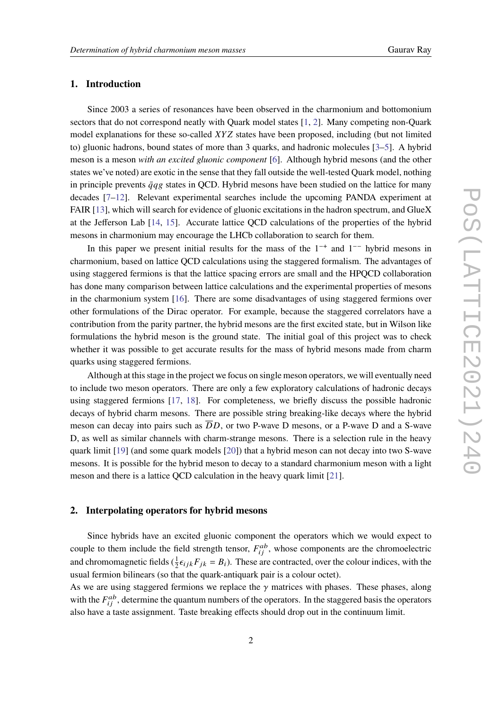## <span id="page-1-0"></span>**1. Introduction**

Since 2003 a series of resonances have been observed in the charmonium and bottomonium sectors that do not correspond neatly with Quark model states [\[1,](#page-6-0) [2\]](#page-6-1). Many competing non-Quark model explanations for these so-called  $XYZ$  states have been proposed, including (but not limited to) gluonic hadrons, bound states of more than 3 quarks, and hadronic molecules [\[3–](#page-6-2)[5\]](#page-6-3). A hybrid meson is a meson *with an excited gluonic component* [\[6\]](#page-6-4). Although hybrid mesons (and the other states we've noted) are exotic in the sense that they fall outside the well-tested Quark model, nothing in principle prevents  $\bar{q}qg$  states in QCD. Hybrid mesons have been studied on the lattice for many decades [\[7](#page-6-5)[–12\]](#page-7-0). Relevant experimental searches include the upcoming PANDA experiment at FAIR [\[13\]](#page-7-1), which will search for evidence of gluonic excitations in the hadron spectrum, and GlueX at the Jefferson Lab [\[14,](#page-7-2) [15\]](#page-7-3). Accurate lattice QCD calculations of the properties of the hybrid mesons in charmonium may encourage the LHCb collaboration to search for them.

In this paper we present initial results for the mass of the  $1^{-+}$  and  $1^{--}$  hybrid mesons in charmonium, based on lattice QCD calculations using the staggered formalism. The advantages of using staggered fermions is that the lattice spacing errors are small and the HPQCD collaboration has done many comparison between lattice calculations and the experimental properties of mesons in the charmonium system [\[16\]](#page-7-4). There are some disadvantages of using staggered fermions over other formulations of the Dirac operator. For example, because the staggered correlators have a contribution from the parity partner, the hybrid mesons are the first excited state, but in Wilson like formulations the hybrid meson is the ground state. The initial goal of this project was to check whether it was possible to get accurate results for the mass of hybrid mesons made from charm quarks using staggered fermions.

Although at this stage in the project we focus on single meson operators, we will eventually need to include two meson operators. There are only a few exploratory calculations of hadronic decays using staggered fermions [\[17,](#page-7-5) [18\]](#page-7-6). For completeness, we briefly discuss the possible hadronic decays of hybrid charm mesons. There are possible string breaking-like decays where the hybrid meson can decay into pairs such as  $\overline{D}D$ , or two P-wave D mesons, or a P-wave D and a S-wave D, as well as similar channels with charm-strange mesons. There is a selection rule in the heavy quark limit [\[19\]](#page-7-7) (and some quark models [\[20\]](#page-7-8)) that a hybrid meson can not decay into two S-wave mesons. It is possible for the hybrid meson to decay to a standard charmonium meson with a light meson and there is a lattice QCD calculation in the heavy quark limit [\[21\]](#page-7-9).

## **2. Interpolating operators for hybrid mesons**

Since hybrids have an excited gluonic component the operators which we would expect to couple to them include the field strength tensor,  $F_{ij}^{ab}$ , whose components are the chromoelectric and chromomagnetic fields  $(\frac{1}{2} \epsilon_{ijk} F_{jk} = B_i)$ . These are contracted, over the colour indices, with the usual fermion bilinears (so that the quark-antiquark pair is a colour octet).

As we are using staggered fermions we replace the  $\gamma$  matrices with phases. These phases, along with the  $F_{ij}^{ab}$ , determine the quantum numbers of the operators. In the staggered basis the operators also have a taste assignment. Taste breaking effects should drop out in the continuum limit.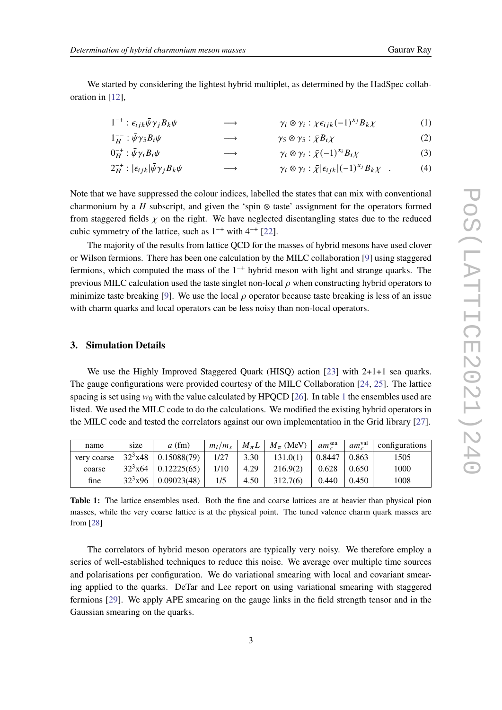We started by considering the lightest hybrid multiplet, as determined by the HadSpec collaboration in [\[12\]](#page-7-0),

| $1^{-+}$ : $\epsilon_{ijk}\bar{\psi}\gamma_jB_k\psi$<br>$\longrightarrow$ | $\gamma_i \otimes \gamma_i : \bar{\chi} \epsilon_{ijk} (-1)^{x_j} B_k \chi$ | (1) |
|---------------------------------------------------------------------------|-----------------------------------------------------------------------------|-----|
|---------------------------------------------------------------------------|-----------------------------------------------------------------------------|-----|

$$
1_{H}^{-} : \bar{\psi} \gamma_{5} B_{i} \psi \longrightarrow \gamma_{5} \otimes \gamma_{5} : \bar{\chi} B_{i} \chi \tag{2}
$$
  
\n
$$
0_{H}^{-} : \bar{\psi} \gamma_{i} B_{i} \psi \longrightarrow \gamma_{i} \otimes \gamma_{i} : \bar{\chi} (-1)^{x_{i}} B_{i} \chi \tag{3}
$$

$$
2_{H}^{-+}:|\epsilon_{ijk}|\bar{\psi}\gamma_{j}B_{k}\psi \longrightarrow \gamma_{i}\otimes\gamma_{i}:\bar{\chi}|\epsilon_{ijk}|(-1)^{x_{j}}B_{k}\chi . \tag{4}
$$

Note that we have suppressed the colour indices, labelled the states that can mix with conventional charmonium by a  $H$  subscript, and given the 'spin  $\otimes$  taste' assignment for the operators formed from staggered fields  $\chi$  on the right. We have neglected disentangling states due to the reduced cubic symmetry of the lattice, such as  $1^{-+}$  with  $4^{-+}$  [\[22\]](#page-7-10).

The majority of the results from lattice QCD for the masses of hybrid mesons have used clover or Wilson fermions. There has been one calculation by the MILC collaboration [\[9\]](#page-7-11) using staggered fermions, which computed the mass of the  $1^{-+}$  hybrid meson with light and strange quarks. The previous MILC calculation used the taste singlet non-local  $\rho$  when constructing hybrid operators to minimize taste breaking [\[9\]](#page-7-11). We use the local  $\rho$  operator because taste breaking is less of an issue with charm quarks and local operators can be less noisy than non-local operators.

## **3. Simulation Details**

We use the Highly Improved Staggered Quark (HISQ) action [\[23\]](#page-7-12) with 2+1+1 sea quarks. The gauge configurations were provided courtesy of the MILC Collaboration [\[24,](#page-7-13) [25\]](#page-8-0). The lattice spacing is set using  $w_0$  with the value calculated by HPQCD [\[26\]](#page-8-1). In table [1](#page-2-0) the ensembles used are listed. We used the MILC code to do the calculations. We modified the existing hybrid operators in the MILC code and tested the correlators against our own implementation in the Grid library [\[27\]](#page-8-2).

<span id="page-2-0"></span>

| name        | size         | $a$ (fm)    | $m_l/m_s$ | $M_{\pi}L$ | $M_\pi$ (MeV) | $am_c^{\text{sea}}$ | $am_c^{\text{val}}$ | configurations |
|-------------|--------------|-------------|-----------|------------|---------------|---------------------|---------------------|----------------|
| very coarse | $32^3x48$    | 0.15088(79) | 1/27      | 3.30       | 131.0(1)      | 0.8447              | 0.863               | 1505           |
| coarse      | $32^3x64$    | 0.12225(65) | 1/10      | 4.29       | 216.9(2)      | 0.628               | 0.650               | 1000           |
| fine        | $32^{3}$ x96 | 0.09023(48) | 1/5       | 4.50       | 312.7(6)      | 0.440               | 0.450               | 1008           |

**Table 1:** The lattice ensembles used. Both the fine and coarse lattices are at heavier than physical pion masses, while the very coarse lattice is at the physical point. The tuned valence charm quark masses are from [\[28\]](#page-8-3)

The correlators of hybrid meson operators are typically very noisy. We therefore employ a series of well-established techniques to reduce this noise. We average over multiple time sources and polarisations per configuration. We do variational smearing with local and covariant smearing applied to the quarks. DeTar and Lee report on using variational smearing with staggered fermions [\[29\]](#page-8-4). We apply APE smearing on the gauge links in the field strength tensor and in the Gaussian smearing on the quarks.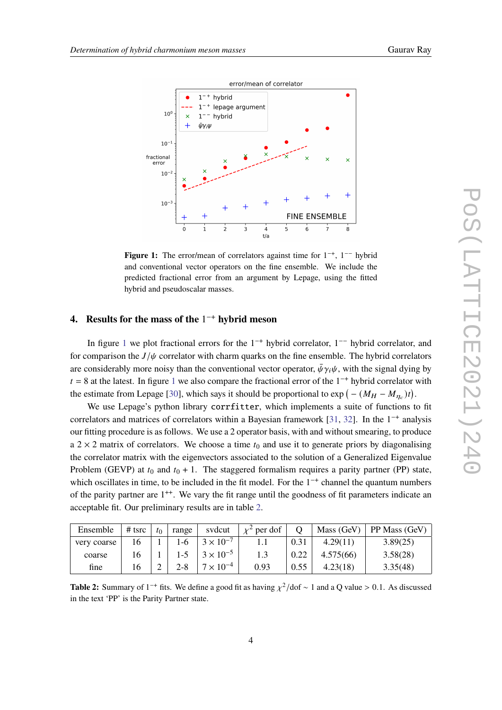<span id="page-3-0"></span>

Figure 1: The error/mean of correlators against time for  $1^{-+}$ ,  $1^{--}$  hybrid and conventional vector operators on the fine ensemble. We include the predicted fractional error from an argument by Lepage, using the fitted hybrid and pseudoscalar masses.

## **4.** Results for the mass of the 1<sup>-+</sup> hybrid meson

In figure [1](#page-3-0) we plot fractional errors for the  $1^{-+}$  hybrid correlator,  $1^{--}$  hybrid correlator, and for comparison the  $J/\psi$  correlator with charm quarks on the fine ensemble. The hybrid correlators are considerably more noisy than the conventional vector operator,  $\bar{\psi} \gamma_i \psi$ , with the signal dying by  $t = 8$  at the latest. In figure [1](#page-3-0) we also compare the fractional error of the 1<sup>-+</sup> hybrid correlator with the estimate from Lepage [\[30\]](#page-8-5), which says it should be proportional to  $\exp(-(M_H - M_{\eta_c})t)$ .

We use Lepage's python library corrfitter, which implements a suite of functions to fit correlators and matrices of correlators within a Bayesian framework [\[31,](#page-8-6) [32\]](#page-8-7). In the  $1^{-+}$  analysis our fitting procedure is as follows. We use a 2 operator basis, with and without smearing, to produce a  $2 \times 2$  matrix of correlators. We choose a time  $t_0$  and use it to generate priors by diagonalising the correlator matrix with the eigenvectors associated to the solution of a Generalized Eigenvalue Problem (GEVP) at  $t_0$  and  $t_0 + 1$ . The staggered formalism requires a parity partner (PP) state, which oscillates in time, to be included in the fit model. For the  $1^{-+}$  channel the quantum numbers of the parity partner are  $1^{++}$ . We vary the fit range until the goodness of fit parameters indicate an acceptable fit. Our preliminary results are in table [2.](#page-3-1)

<span id="page-3-1"></span>

| Ensemble    | # tsrc | $t_0$ | range | svdcut             | $\chi^2$ per dof |      | Mass (GeV) | $\vert$ PP Mass (GeV) |
|-------------|--------|-------|-------|--------------------|------------------|------|------------|-----------------------|
| very coarse | 16     |       | 1-6   | $3 \times 10^{-7}$ | 1.1              | 0.31 | 4.29(11)   | 3.89(25)              |
| coarse      | 16     |       |       | $3 \times 10^{-5}$ |                  | 0.22 | 4.575(66)  | 3.58(28)              |
| fine        | 16     |       | 2-8   | $7 \times 10^{-4}$ | 0.93             | 0.55 | 4.23(18)   | 3.35(48)              |

**Table 2:** Summary of 1<sup>-+</sup> fits. We define a good fit as having  $\chi^2$ /dof ~ 1 and a Q value > 0.1. As discussed in the text 'PP' is the Parity Partner state.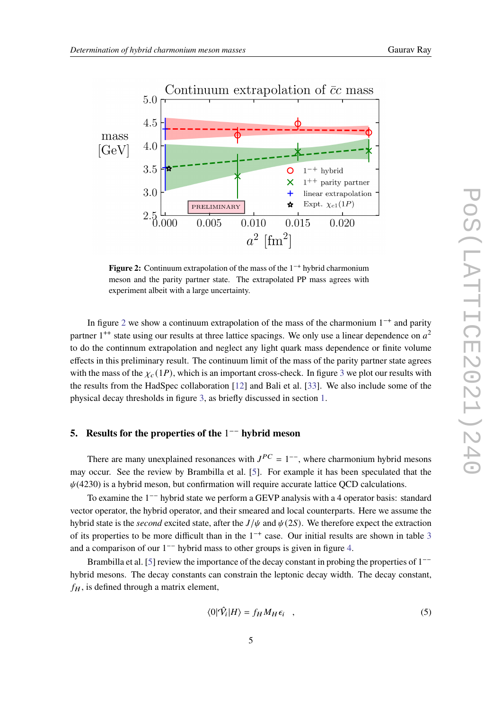<span id="page-4-0"></span>

**Figure 2:** Continuum extrapolation of the mass of the 1<sup>-+</sup> hybrid charmonium meson and the parity partner state. The extrapolated PP mass agrees with experiment albeit with a large uncertainty.

In figure [2](#page-4-0) we show a continuum extrapolation of the mass of the charmonium  $1^{-+}$  and parity partner  $1^{++}$  state using our results at three lattice spacings. We only use a linear dependence on  $a^2$ to do the continnum extrapolation and neglect any light quark mass dependence or finite volume effects in this preliminary result. The continuum limit of the mass of the parity partner state agrees with the mass of the  $\chi_c(1P)$ , which is an important cross-check. In figure [3](#page-5-0) we plot our results with the results from the HadSpec collaboration [\[12\]](#page-7-0) and Bali et al. [\[33\]](#page-8-8). We also include some of the physical decay thresholds in figure [3,](#page-5-0) as briefly discussed in section [1.](#page-1-0)

## **5.** Results for the properties of the 1<sup>-−</sup> hybrid meson

There are many unexplained resonances with  $J^{PC} = 1^{-}$ , where charmonium hybrid mesons may occur. See the review by Brambilla et al. [\[5\]](#page-6-3). For example it has been speculated that the  $\psi$ (4230) is a hybrid meson, but confirmation will require accurate lattice QCD calculations.

To examine the 1<sup>-−</sup> hybrid state we perform a GEVP analysis with a 4 operator basis: standard vector operator, the hybrid operator, and their smeared and local counterparts. Here we assume the hybrid state is the *second* excited state, after the  $J/\psi$  and  $\psi(2S)$ . We therefore expect the extraction of its properties to be more difficult than in the  $1^{-+}$  case. Our initial results are shown in table [3](#page-5-1) and a comparison of our  $1^{-}$  hybrid mass to other groups is given in figure [4.](#page-5-0)

Brambilla et al. [\[5\]](#page-6-3) review the importance of the decay constant in probing the properties of  $1$ hybrid mesons. The decay constants can constrain the leptonic decay width. The decay constant,  $f_H$ , is defined through a matrix element,

$$
\langle 0|\hat{\mathcal{V}}_i|H\rangle = f_H M_H \epsilon_i \quad , \tag{5}
$$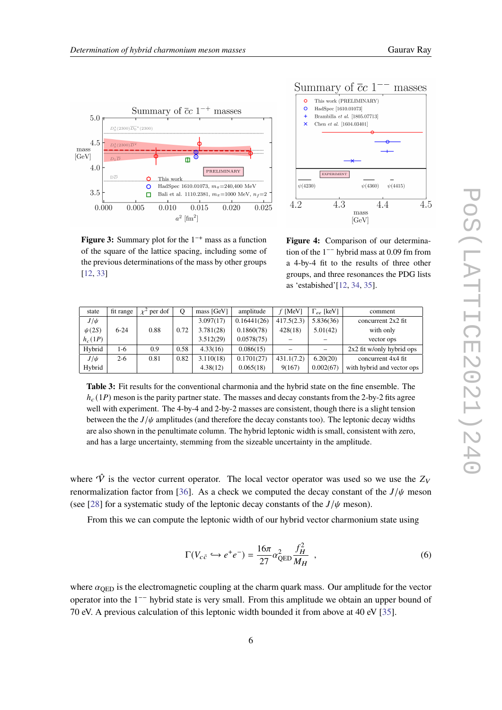<span id="page-5-0"></span>



**Figure 3:** Summary plot for the  $1^{-+}$  mass as a function of the square of the lattice spacing, including some of the previous determinations of the mass by other groups [\[12,](#page-7-0) [33\]](#page-8-8)

**Figure 4:** Comparison of our determination of the  $1^{-}$  hybrid mass at 0.09 fm from a 4-by-4 fit to the results of three other groups, and three resonances the PDG lists as 'estabished'[\[12,](#page-7-0) [34,](#page-8-9) [35\]](#page-8-10).

<span id="page-5-1"></span>

| state      | fit range | per dof | Q    | mass [GeV] | amplitude   | $f$ [MeV]  | $\Gamma_{ee}$ [keV] | comment                     |
|------------|-----------|---------|------|------------|-------------|------------|---------------------|-----------------------------|
| $J/\psi$   |           |         |      | 3.097(17)  | 0.16441(26) | 417.5(2.3) | 5.836(36)           | concurrent $2x2$ fit        |
| $\psi(2S)$ | $6-24$    | 0.88    | 0.72 | 3.781(28)  | 0.1860(78)  | 428(18)    | 5.01(42)            | with only                   |
| $h_c(1P)$  |           |         |      | 3.512(29)  | 0.0578(75)  |            |                     | vector ops                  |
| Hybrid     | 1-6       | 0.9     | 0.58 | 4.33(16)   | 0.086(15)   |            |                     | $2x2$ fit w/only hybrid ops |
| $J/\psi$   | $2-6$     | 0.81    | 0.82 | 3.110(18)  | 0.1701(27)  | 431.1(7.2) | 6.20(20)            | concurrent 4x4 fit          |
| Hybrid     |           |         |      | 4.38(12)   | 0.065(18)   | 9(167)     | 0.002(67)           | with hybrid and vector ops  |

**Table 3:** Fit results for the conventional charmonia and the hybrid state on the fine ensemble. The  $h_c(1P)$  meson is the parity partner state. The masses and decay constants from the 2-by-2 fits agree well with experiment. The 4-by-4 and 2-by-2 masses are consistent, though there is a slight tension between the the  $J/\psi$  amplitudes (and therefore the decay constants too). The leptonic decay widths are also shown in the penultimate column. The hybrid leptonic width is small, consistent with zero, and has a large uncertainty, stemming from the sizeable uncertainty in the amplitude.

where  $\hat{V}$  is the vector current operator. The local vector operator was used so we use the  $Z_V$ renormalization factor from [\[36\]](#page-8-11). As a check we computed the decay constant of the  $J/\psi$  meson (see [\[28\]](#page-8-3) for a systematic study of the leptonic decay constants of the  $J/\psi$  meson).

From this we can compute the leptonic width of our hybrid vector charmonium state using

$$
\Gamma(V_{c\bar{c}} \hookrightarrow e^+e^-) = \frac{16\pi}{27} \alpha_{\text{QED}}^2 \frac{f_H^2}{M_H} \quad , \tag{6}
$$

where  $\alpha_{\text{QED}}$  is the electromagnetic coupling at the charm quark mass. Our amplitude for the vector operator into the 1<sup>--</sup> hybrid state is very small. From this amplitude we obtain an upper bound of 70 eV. A previous calculation of this leptonic width bounded it from above at 40 eV [\[35\]](#page-8-10).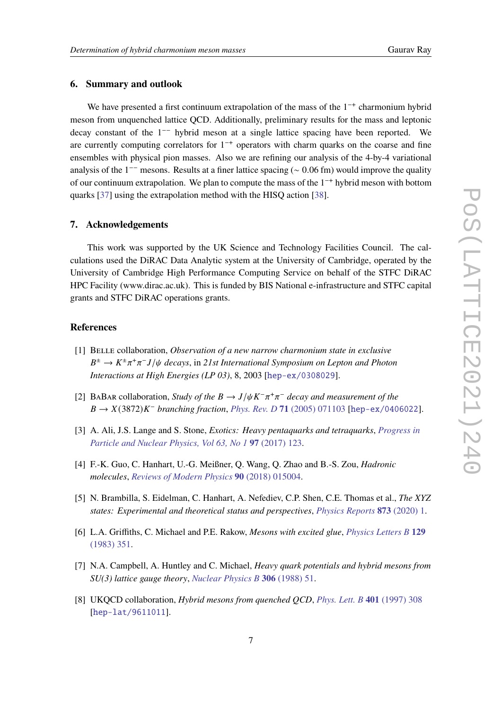### **6. Summary and outlook**

We have presented a first continuum extrapolation of the mass of the  $1^{-+}$  charmonium hybrid meson from unquenched lattice QCD. Additionally, preliminary results for the mass and leptonic  $\alpha$  decay constant of the 1<sup>--</sup> hybrid meson at a single lattice spacing have been reported. We are currently computing correlators for  $1^{-+}$  operators with charm quarks on the coarse and fine ensembles with physical pion masses. Also we are refining our analysis of the 4-by-4 variational analysis of the 1<sup>--</sup> mesons. Results at a finer lattice spacing ( $\sim 0.06$  fm) would improve the quality of our continuum extrapolation. We plan to compute the mass of the  $1^{-+}$  hybrid meson with bottom quarks [\[37\]](#page-8-12) using the extrapolation method with the HISQ action [\[38\]](#page-8-13).

#### **7. Acknowledgements**

This work was supported by the UK Science and Technology Facilities Council. The calculations used the DiRAC Data Analytic system at the University of Cambridge, operated by the University of Cambridge High Performance Computing Service on behalf of the STFC DiRAC HPC Facility (www.dirac.ac.uk). This is funded by BIS National e-infrastructure and STFC capital grants and STFC DiRAC operations grants.

## **References**

- <span id="page-6-0"></span>[1] Belle collaboration, *Observation of a new narrow charmonium state in exclusive*  $B^{\pm} \to K^{\pm} \pi^+ \pi^- J/\psi$  decays, in 21st International Symposium on Lepton and Photon *Interactions at High Energies (LP 03)*, 8, 2003 [[hep-ex/0308029](https://arxiv.org/abs/hep-ex/0308029)].
- <span id="page-6-1"></span>[2] BABAR collaboration, *Study of the*  $B \to J/\psi K^-\pi^+\pi^-$  decay and measurement of the  $B \to X(3872)K^-$  *branching fraction, [Phys. Rev. D](https://doi.org/10.1103/PhysRevD.71.071103)* **71** (2005) 071103 [[hep-ex/0406022](https://arxiv.org/abs/hep-ex/0406022)].
- <span id="page-6-2"></span>[3] A. Ali, J.S. Lange and S. Stone, *Exotics: Heavy pentaquarks and tetraquarks*, *[Progress in](https://doi.org/10.1016/j.ppnp.2017.08.003) [Particle and Nuclear Physics, Vol 63, No 1](https://doi.org/10.1016/j.ppnp.2017.08.003)* **97** (2017) 123.
- [4] F.-K. Guo, C. Hanhart, U.-G. Meißner, Q. Wang, Q. Zhao and B.-S. Zou, *Hadronic molecules*, *[Reviews of Modern Physics](https://doi.org/10.1103/RevModPhys.90.015004)* **90** (2018) 015004.
- <span id="page-6-3"></span>[5] N. Brambilla, S. Eidelman, C. Hanhart, A. Nefediev, C.P. Shen, C.E. Thomas et al., *The XYZ states: Experimental and theoretical status and perspectives*, *[Physics Reports](https://doi.org/10.1016/j.physrep.2020.05.001)* **873** (2020) 1.
- <span id="page-6-4"></span>[6] L.A. Griffiths, C. Michael and P.E. Rakow, *Mesons with excited glue*, *[Physics Letters B](https://doi.org/10.1016/0370-2693(83)90680-9)* **129** [\(1983\) 351.](https://doi.org/10.1016/0370-2693(83)90680-9)
- <span id="page-6-5"></span>[7] N.A. Campbell, A. Huntley and C. Michael, *Heavy quark potentials and hybrid mesons from SU(3) lattice gauge theory*, *[Nuclear Physics B](https://doi.org/10.1016/0550-3213(88)90170-8)* **306** (1988) 51.
- [8] UKQCD collaboration, *Hybrid mesons from quenched QCD*, *[Phys. Lett. B](https://doi.org/10.1016/S0370-2693(97)00384-5)* **401** (1997) 308 [[hep-lat/9611011](https://arxiv.org/abs/hep-lat/9611011)].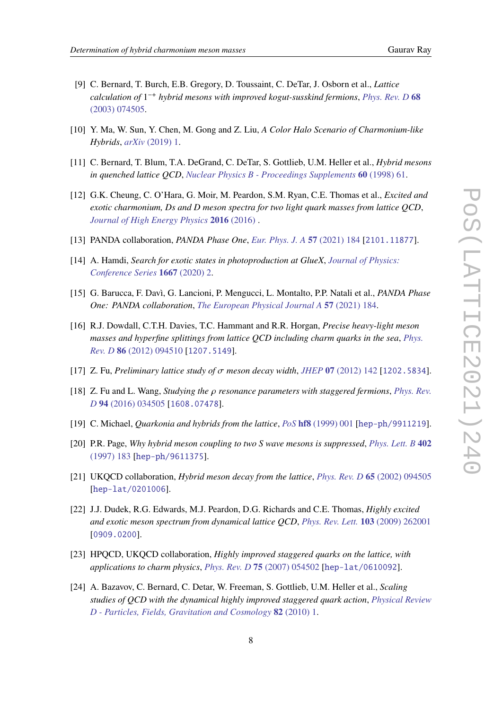- 
- <span id="page-7-11"></span>[9] C. Bernard, T. Burch, E.B. Gregory, D. Toussaint, C. DeTar, J. Osborn et al., *Lattice calculation of* 1 −+ *hybrid mesons with improved kogut-susskind fermions*, *[Phys. Rev. D](https://doi.org/10.1103/PhysRevD.68.074505)* **68** [\(2003\) 074505.](https://doi.org/10.1103/PhysRevD.68.074505)
- [10] Y. Ma, W. Sun, Y. Chen, M. Gong and Z. Liu, *A Color Halo Scenario of Charmonium-like Hybrids*, *arXiv* [\(2019\) 1.](https://doi.org/10.1088/1674-1137/ac0ee2)
- [11] C. Bernard, T. Blum, T.A. DeGrand, C. DeTar, S. Gottlieb, U.M. Heller et al., *Hybrid mesons in quenched lattice QCD*, *[Nuclear Physics B - Proceedings Supplements](https://doi.org/10.1016/S0920-5632(97)00467-2)* **60** (1998) 61.
- <span id="page-7-0"></span>[12] G.K. Cheung, C. O'Hara, G. Moir, M. Peardon, S.M. Ryan, C.E. Thomas et al., *Excited and exotic charmonium, Ds and D meson spectra for two light quark masses from lattice QCD*, *[Journal of High Energy Physics](https://doi.org/10.1007/JHEP12(2016)089)* **2016** (2016) .
- <span id="page-7-1"></span>[13] PANDA collaboration, *PANDA Phase One*, *[Eur. Phys. J. A](https://doi.org/10.1140/epja/s10050-021-00475-y)* **57** (2021) 184 [[2101.11877](https://arxiv.org/abs/2101.11877)].
- <span id="page-7-2"></span>[14] A. Hamdi, *Search for exotic states in photoproduction at GlueX*, *[Journal of Physics:](https://doi.org/10.1088/1742-6596/1667/1/012012) [Conference Series](https://doi.org/10.1088/1742-6596/1667/1/012012)* **1667** (2020) 2.
- <span id="page-7-3"></span>[15] G. Barucca, F. Davì, G. Lancioni, P. Mengucci, L. Montalto, P.P. Natali et al., *PANDA Phase One: PANDA collaboration*, *[The European Physical Journal A](https://doi.org/10.1140/epja/s10050-021-00475-y)* **57** (2021) 184.
- <span id="page-7-4"></span>[16] R.J. Dowdall, C.T.H. Davies, T.C. Hammant and R.R. Horgan, *Precise heavy-light meson masses and hyperfine splittings from lattice QCD including charm quarks in the sea*, *[Phys.](https://doi.org/10.1103/PhysRevD.86.094510) Rev. D* **86** [\(2012\) 094510](https://doi.org/10.1103/PhysRevD.86.094510) [[1207.5149](https://arxiv.org/abs/1207.5149)].
- <span id="page-7-5"></span>[17] Z. Fu, *Preliminary lattice study of*  $\sigma$  *meson decay width*, *JHEP* **07** [\(2012\) 142](https://doi.org/10.1007/JHEP07(2012)142) [[1202.5834](https://arxiv.org/abs/1202.5834)].
- <span id="page-7-6"></span>[18]  $Z.$  Fu and L. Wang, *Studying the*  $\rho$  resonance parameters with staggered fermions, *[Phys. Rev.](https://doi.org/10.1103/PhysRevD.94.034505) D* **94** [\(2016\) 034505](https://doi.org/10.1103/PhysRevD.94.034505) [[1608.07478](https://arxiv.org/abs/1608.07478)].
- <span id="page-7-7"></span>[19] C. Michael, *Quarkonia and hybrids from the lattice*, *PoS* **hf8** [\(1999\) 001](https://doi.org/10.22323/1.003.0001) [[hep-ph/9911219](https://arxiv.org/abs/hep-ph/9911219)].
- <span id="page-7-8"></span>[20] P.R. Page, *Why hybrid meson coupling to two S wave mesons is suppressed*, *[Phys. Lett. B](https://doi.org/10.1016/S0370-2693(97)00438-3)* **402** [\(1997\) 183](https://doi.org/10.1016/S0370-2693(97)00438-3) [[hep-ph/9611375](https://arxiv.org/abs/hep-ph/9611375)].
- <span id="page-7-9"></span>[21] UKQCD collaboration, *Hybrid meson decay from the lattice*, *[Phys. Rev. D](https://doi.org/10.1103/PhysRevD.65.094505)* **65** (2002) 094505 [[hep-lat/0201006](https://arxiv.org/abs/hep-lat/0201006)].
- <span id="page-7-10"></span>[22] J.J. Dudek, R.G. Edwards, M.J. Peardon, D.G. Richards and C.E. Thomas, *Highly excited and exotic meson spectrum from dynamical lattice QCD*, *[Phys. Rev. Lett.](https://doi.org/10.1103/PhysRevLett.103.262001)* **103** (2009) 262001 [[0909.0200](https://arxiv.org/abs/0909.0200)].
- <span id="page-7-12"></span>[23] HPQCD, UKQCD collaboration, *Highly improved staggered quarks on the lattice, with applications to charm physics*, *[Phys. Rev. D](https://doi.org/10.1103/PhysRevD.75.054502)* **75** (2007) 054502 [[hep-lat/0610092](https://arxiv.org/abs/hep-lat/0610092)].
- <span id="page-7-13"></span>[24] A. Bazavov, C. Bernard, C. Detar, W. Freeman, S. Gottlieb, U.M. Heller et al., *Scaling studies of QCD with the dynamical highly improved staggered quark action*, *[Physical Review](https://doi.org/10.1103/PhysRevD.82.074501) [D - Particles, Fields, Gravitation and Cosmology](https://doi.org/10.1103/PhysRevD.82.074501)* **82** (2010) 1.